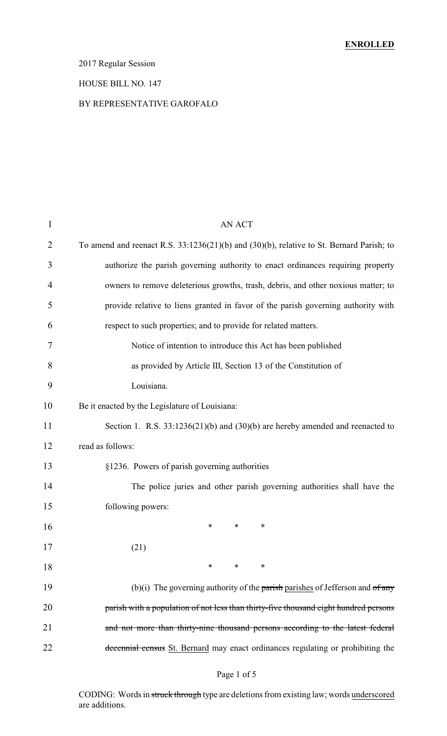# 2017 Regular Session

### HOUSE BILL NO. 147

### BY REPRESENTATIVE GAROFALO

| 1              | AN ACT                                                                                   |  |  |
|----------------|------------------------------------------------------------------------------------------|--|--|
| $\overline{2}$ | To amend and reenact R.S. 33:1236(21)(b) and (30)(b), relative to St. Bernard Parish; to |  |  |
| 3              | authorize the parish governing authority to enact ordinances requiring property          |  |  |
| 4              | owners to remove deleterious growths, trash, debris, and other noxious matter; to        |  |  |
| 5              | provide relative to liens granted in favor of the parish governing authority with        |  |  |
| 6              | respect to such properties; and to provide for related matters.                          |  |  |
| 7              | Notice of intention to introduce this Act has been published                             |  |  |
| 8              | as provided by Article III, Section 13 of the Constitution of                            |  |  |
| 9              | Louisiana.                                                                               |  |  |
| 10             | Be it enacted by the Legislature of Louisiana:                                           |  |  |
| 11             | Section 1. R.S. $33:1236(21)(b)$ and $(30)(b)$ are hereby amended and reenacted to       |  |  |
| 12             | read as follows:                                                                         |  |  |
| 13             | §1236. Powers of parish governing authorities                                            |  |  |
| 14             | The police juries and other parish governing authorities shall have the                  |  |  |
| 15             | following powers:                                                                        |  |  |
| 16             | ∗<br>*<br>∗                                                                              |  |  |
| 17             | (21)                                                                                     |  |  |
| 18             | $\ast$<br>$\ast$<br>∗                                                                    |  |  |
| 19             | (b)(i) The governing authority of the parish parishes of Jefferson and $of$ any          |  |  |
| 20             | parish with a population of not less than thirty-five thousand eight hundred persons     |  |  |
| 21             | and not more than thirty-nine thousand persons according to the latest federal           |  |  |
| 22             | decennial census St. Bernard may enact ordinances regulating or prohibiting the          |  |  |
|                |                                                                                          |  |  |

### Page 1 of 5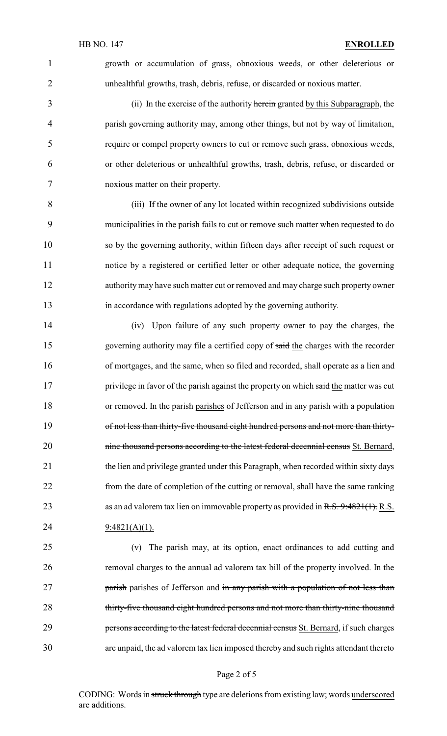growth or accumulation of grass, obnoxious weeds, or other deleterious or unhealthful growths, trash, debris, refuse, or discarded or noxious matter.

3 (ii) In the exercise of the authority herein granted by this Subparagraph, the parish governing authority may, among other things, but not by way of limitation, require or compel property owners to cut or remove such grass, obnoxious weeds, or other deleterious or unhealthful growths, trash, debris, refuse, or discarded or noxious matter on their property.

 (iii) If the owner of any lot located within recognized subdivisions outside municipalities in the parish fails to cut or remove such matter when requested to do so by the governing authority, within fifteen days after receipt of such request or notice by a registered or certified letter or other adequate notice, the governing authority may have such matter cut or removed and may charge such property owner in accordance with regulations adopted by the governing authority.

 (iv) Upon failure of any such property owner to pay the charges, the governing authority may file a certified copy of said the charges with the recorder of mortgages, and the same, when so filed and recorded, shall operate as a lien and 17 privilege in favor of the parish against the property on which said the matter was cut 18 or removed. In the parish parishes of Jefferson and in any parish with a population 19 of not less than thirty-five thousand eight hundred persons and not more than thirty-20 nine thousand persons according to the latest federal decennial census St. Bernard, the lien and privilege granted under this Paragraph, when recorded within sixty days from the date of completion of the cutting or removal, shall have the same ranking 23 as an ad valorem tax lien on immovable property as provided in R.S. 9:4821(1). R.S. 24  $9:4821(A)(1)$ .

 (v) The parish may, at its option, enact ordinances to add cutting and removal charges to the annual ad valorem tax bill of the property involved. In the **parish parishes of Jefferson and in any parish with a population of not less than** 28 thirty-five thousand eight hundred persons and not more than thirty-nine thousand **persons according to the latest federal decennial census** St. Bernard, if such charges are unpaid, the ad valorem tax lien imposed thereby and such rights attendant thereto

#### Page 2 of 5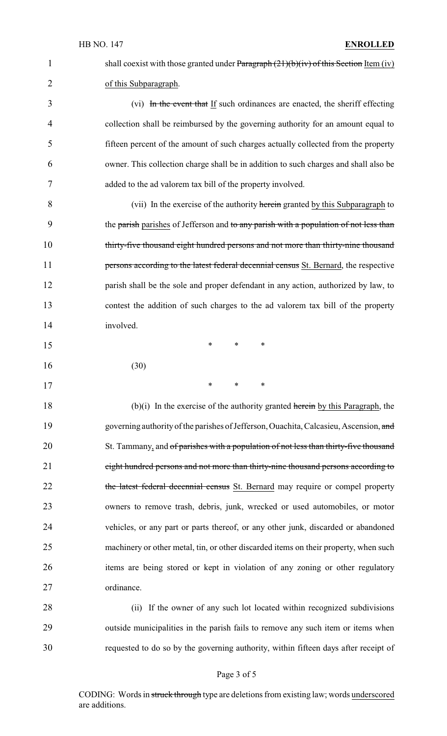1 shall coexist with those granted under Paragraph  $(21)(b)(iv)$  of this Section Item (iv) of this Subparagraph.

3 (vi) In the event that If such ordinances are enacted, the sheriff effecting collection shall be reimbursed by the governing authority for an amount equal to fifteen percent of the amount of such charges actually collected from the property owner. This collection charge shall be in addition to such charges and shall also be added to the ad valorem tax bill of the property involved.

8 (vii) In the exercise of the authority herein granted by this Subparagraph to 9 the parish parishes of Jefferson and to any parish with a population of not less than thirty-five thousand eight hundred persons and not more than thirty-nine thousand **persons according to the latest federal decennial census** St. Bernard, the respective parish shall be the sole and proper defendant in any action, authorized by law, to contest the addition of such charges to the ad valorem tax bill of the property involved.

| 15 |      | ∗ | ∗ | $\ast$ |
|----|------|---|---|--------|
| 16 | (30) |   |   |        |

\* \* \*

18 (b) $(i)$  In the exercise of the authority granted herein by this Paragraph, the 19 governing authority of the parishes of Jefferson, Ouachita, Calcasieu, Ascension, and 20 St. Tammany, and of parishes with a population of not less than thirty-five thousand eight hundred persons and not more than thirty-nine thousand persons according to 22 the latest federal decennial census St. Bernard may require or compel property owners to remove trash, debris, junk, wrecked or used automobiles, or motor vehicles, or any part or parts thereof, or any other junk, discarded or abandoned 25 machinery or other metal, tin, or other discarded items on their property, when such items are being stored or kept in violation of any zoning or other regulatory ordinance.

 (ii) If the owner of any such lot located within recognized subdivisions outside municipalities in the parish fails to remove any such item or items when requested to do so by the governing authority, within fifteen days after receipt of

#### Page 3 of 5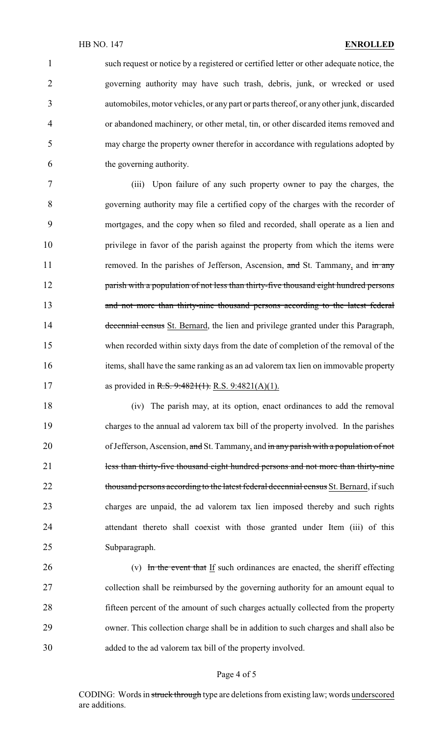such request or notice by a registered or certified letter or other adequate notice, the governing authority may have such trash, debris, junk, or wrecked or used automobiles, motor vehicles, or any part or parts thereof, or any other junk, discarded or abandoned machinery, or other metal, tin, or other discarded items removed and may charge the property owner therefor in accordance with regulations adopted by the governing authority.

 (iii) Upon failure of any such property owner to pay the charges, the governing authority may file a certified copy of the charges with the recorder of mortgages, and the copy when so filed and recorded, shall operate as a lien and privilege in favor of the parish against the property from which the items were 11 removed. In the parishes of Jefferson, Ascension, and St. Tammany, and in any 12 parish with a population of not less than thirty-five thousand eight hundred persons and not more than thirty-nine thousand persons according to the latest federal 14 decennial census St. Bernard, the lien and privilege granted under this Paragraph, when recorded within sixty days from the date of completion of the removal of the items, shall have the same ranking as an ad valorem tax lien on immovable property 17 as provided in R.S. 9:4821(1). R.S. 9:4821(A)(1).

 (iv) The parish may, at its option, enact ordinances to add the removal charges to the annual ad valorem tax bill of the property involved. In the parishes 20 of Jefferson, Ascension, and St. Tammany, and in any parish with a population of not 21 less than thirty-five thousand eight hundred persons and not more than thirty-nine 22 thousand persons according to the latest federal decennial census St. Bernard, if such charges are unpaid, the ad valorem tax lien imposed thereby and such rights attendant thereto shall coexist with those granted under Item (iii) of this Subparagraph.

 (v) In the event that If such ordinances are enacted, the sheriff effecting collection shall be reimbursed by the governing authority for an amount equal to fifteen percent of the amount of such charges actually collected from the property owner. This collection charge shall be in addition to such charges and shall also be added to the ad valorem tax bill of the property involved.

#### Page 4 of 5